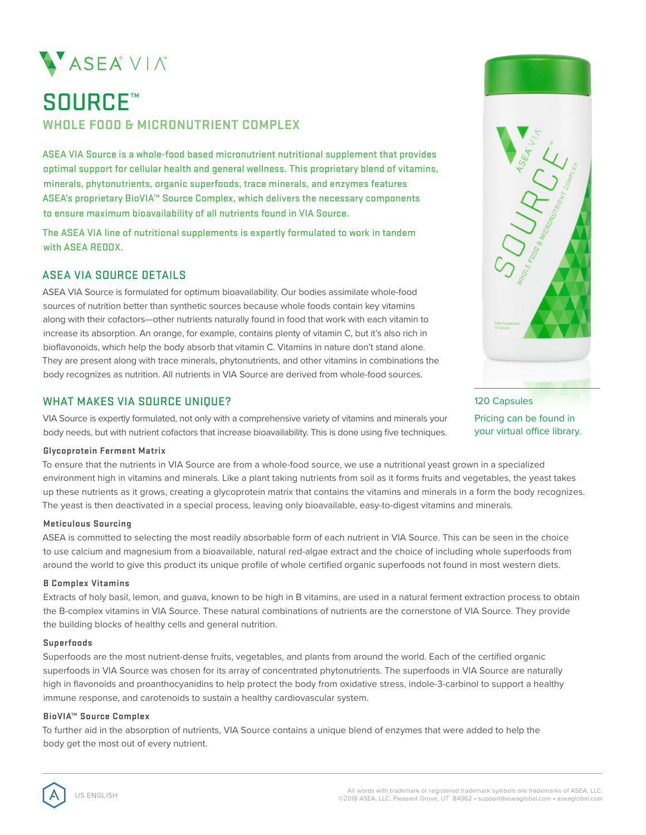

# SOURCE™ **WHOLE FOOD & MICRONUTRIENT COMPLEX**

ASEA VIA Source is a whole-food based micronutrient nutritional supplement that provides optimal support for cellular health and general wellness. This proprietary blend of vitamins, minerals, phytonutrients, organic superfoods, trace minerals, and enzymes features ASEA's proprietary BioVIA™ Source Complex, which delivers the necessary components to ensure maximum bioavailability of all nutrients found in VIA Source.

The ASEA VIA line of nutritional supplements is expertly formulated to work in tandem with ASEA REDOX.

# ASEA VIA SOURCE DETAILS

ASEA VIA Source is formulated for optimum bioavailability. Our bodies assimilate whole-food sources of nutrition better than synthetic sources because whole foods contain key vitamins along with their cofactors—other nutrients naturally found in food that work with each vitamin to increase its absorption. An orange, for example, contains plenty of vitamin C, but it's also rich in bioflavonoids, which help the body absorb that vitamin C. Vitamins in nature don't stand alone. They are present along with trace minerals, phytonutrients, and other vitamins in combinations the body recognizes as nutrition. All nutrients in VIA Source are derived from whole-food sources.

# WHAT MAKES VIA SOURCE UNIQUE?

VIA Source is expertly formulated, not only with a comprehensive variety of vitamins and minerals your body needs, but with nutrient cofactors that increase bioavailability. This is done using five techniques.

#### **Glycoprotein Ferment Matrix**

To ensure that the nutrients in VIA Source are from a whole-food source, we use a nutritional yeast grown in a specialized environment high in vitamins and minerals. Like a plant taking nutrients from soil as it forms fruits and vegetables, the yeast takes up these nutrients as it grows, creating a glycoprotein matrix that contains the vitamins and minerals in a form the body recognizes. The yeast is then deactivated in a special process, leaving only bioavailable, easy-to-digest vitamins and minerals.

#### **Meticulous Sourcing**

ASEA is committed to selecting the most readily absorbable form of each nutrient in VIA Source. This can be seen in the choice to use calcium and magnesium from a bioavailable, natural red-algae extract and the choice of including whole superfoods from around the world to give this product its unique profile of whole certified organic superfoods not found in most western diets.

#### **B Complex Vitamins**

Extracts of holy basil, lemon, and guava, known to be high in B vitamins, are used in a natural ferment extraction process to obtain the B-complex vitamins in VIA Source. These natural combinations of nutrients are the cornerstone of VIA Source. They provide the building blocks of healthy cells and general nutrition.

#### **Superfoods**

Superfoods are the most nutrient-dense fruits, vegetables, and plants from around the world. Each of the certified organic superfoods in VIA Source was chosen for its array of concentrated phytonutrients. The superfoods in VIA Source are naturally high in flavonoids and proanthocyanidins to help protect the body from oxidative stress, indole-3-carbinol to support a healthy immune response, and carotenoids to sustain a healthy cardiovascular system.

## **BioVIA™ Source Complex**

To further aid in the absorption of nutrients, VIA Source contains a unique blend of enzymes that were added to help the body get the most out of every nutrient.



120 Capsules Pricing can be found in your virtual office library.

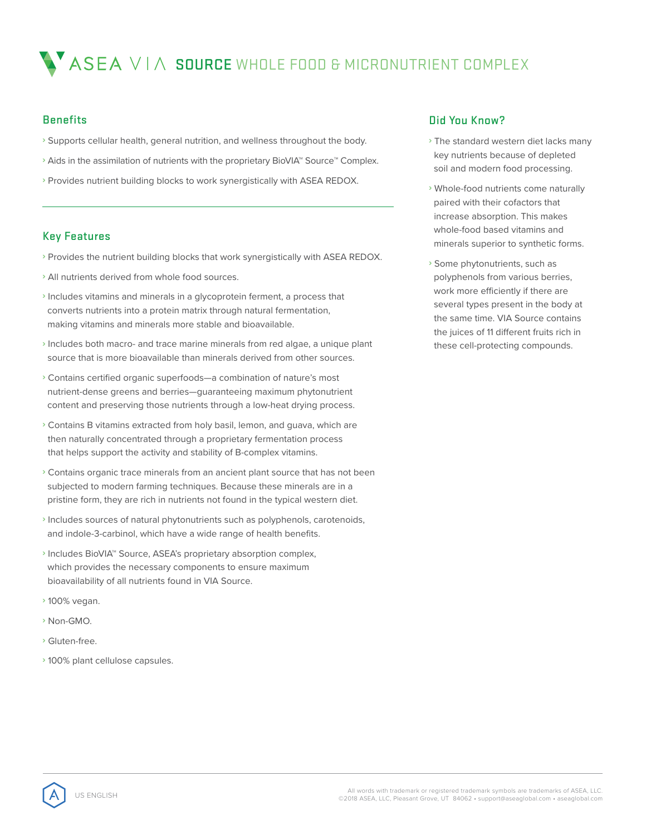# $\bigwedge^{\bullet}$  ASEA  $\vee$  I $\wedge$  source whole food & MICRONUTRIENT COMPLEX

# **Benefits**

- **›** Supports cellular health, general nutrition, and wellness throughout the body.
- **›** Aids in the assimilation of nutrients with the proprietary BioVIA™ Source™ Complex.
- **›** Provides nutrient building blocks to work synergistically with ASEA REDOX.

# Key Features

- **›** Provides the nutrient building blocks that work synergistically with ASEA REDOX.
- **›** All nutrients derived from whole food sources.
- **›** Includes vitamins and minerals in a glycoprotein ferment, a process that converts nutrients into a protein matrix through natural fermentation, making vitamins and minerals more stable and bioavailable.
- **›** Includes both macro- and trace marine minerals from red algae, a unique plant source that is more bioavailable than minerals derived from other sources.
- **›** Contains certified organic superfoods—a combination of nature's most nutrient-dense greens and berries—guaranteeing maximum phytonutrient content and preserving those nutrients through a low-heat drying process.
- **›** Contains B vitamins extracted from holy basil, lemon, and guava, which are then naturally concentrated through a proprietary fermentation process that helps support the activity and stability of B-complex vitamins.
- **›** Contains organic trace minerals from an ancient plant source that has not been subjected to modern farming techniques. Because these minerals are in a pristine form, they are rich in nutrients not found in the typical western diet.
- **›** Includes sources of natural phytonutrients such as polyphenols, carotenoids, and indole-3-carbinol, which have a wide range of health benefits.
- **›** Includes BioVIA™ Source, ASEA's proprietary absorption complex, which provides the necessary components to ensure maximum bioavailability of all nutrients found in VIA Source.
- **›** 100% vegan.
- **›** Non-GMO.
- **›** Gluten-free.
- **›** 100% plant cellulose capsules.

# Did You Know?

- **›** The standard western diet lacks many key nutrients because of depleted soil and modern food processing.
- **›** Whole-food nutrients come naturally paired with their cofactors that increase absorption. This makes whole-food based vitamins and minerals superior to synthetic forms.
- **›** Some phytonutrients, such as polyphenols from various berries, work more efficiently if there are several types present in the body at the same time. VIA Source contains the juices of 11 different fruits rich in these cell-protecting compounds.